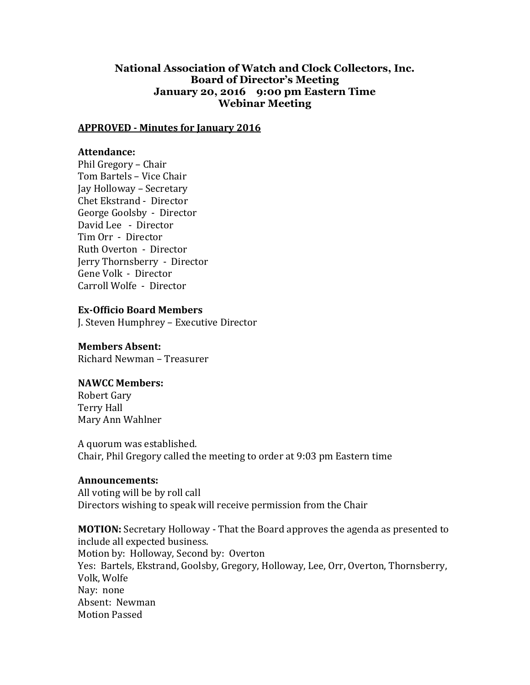# **National Association of Watch and Clock Collectors, Inc. Board of Director's Meeting January 20, 2016 9:00 pm Eastern Time Webinar Meeting**

#### **APPROVED - Minutes for January 2016**

#### **Attendance:**

Phil Gregory – Chair Tom Bartels – Vice Chair Jay Holloway – Secretary Chet Ekstrand - Director George Goolsby - Director David Lee - Director Tim Orr - Director Ruth Overton - Director Jerry Thornsberry - Director Gene Volk - Director Carroll Wolfe - Director

### **Ex-Officio Board Members**

J. Steven Humphrey – Executive Director

### **Members Absent:**

Richard Newman – Treasurer

### **NAWCC Members:**

Robert Gary Terry Hall Mary Ann Wahlner

A quorum was established. Chair, Phil Gregory called the meeting to order at 9:03 pm Eastern time

# **Announcements:**

All voting will be by roll call Directors wishing to speak will receive permission from the Chair

**MOTION:** Secretary Holloway - That the Board approves the agenda as presented to include all expected business. Motion by: Holloway, Second by: Overton Yes: Bartels, Ekstrand, Goolsby, Gregory, Holloway, Lee, Orr, Overton, Thornsberry, Volk, Wolfe Nay: none Absent: Newman Motion Passed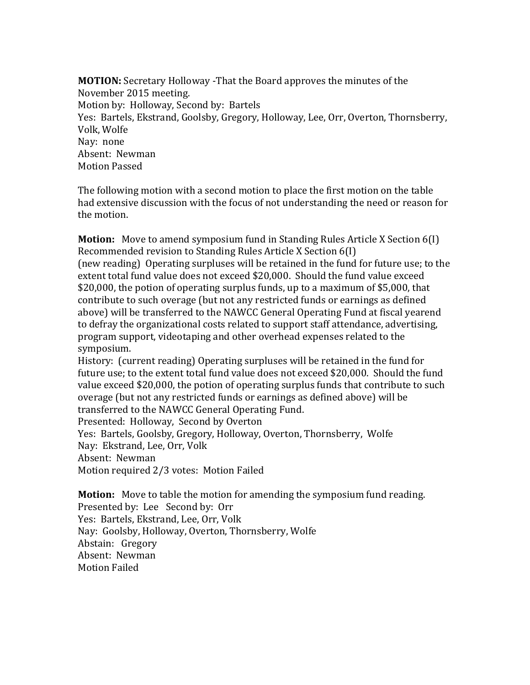**MOTION:** Secretary Holloway -That the Board approves the minutes of the November 2015 meeting. Motion by: Holloway, Second by: Bartels Yes: Bartels, Ekstrand, Goolsby, Gregory, Holloway, Lee, Orr, Overton, Thornsberry, Volk, Wolfe Nay: none Absent: Newman Motion Passed

The following motion with a second motion to place the first motion on the table had extensive discussion with the focus of not understanding the need or reason for the motion.

**Motion:** Move to amend symposium fund in Standing Rules Article X Section 6(I) Recommended revision to Standing Rules Article X Section 6(I) (new reading) Operating surpluses will be retained in the fund for future use; to the extent total fund value does not exceed \$20,000. Should the fund value exceed \$20,000, the potion of operating surplus funds, up to a maximum of \$5,000, that contribute to such overage (but not any restricted funds or earnings as defined above) will be transferred to the NAWCC General Operating Fund at fiscal yearend to defray the organizational costs related to support staff attendance, advertising, program support, videotaping and other overhead expenses related to the symposium.

History: (current reading) Operating surpluses will be retained in the fund for future use; to the extent total fund value does not exceed \$20,000. Should the fund value exceed \$20,000, the potion of operating surplus funds that contribute to such overage (but not any restricted funds or earnings as defined above) will be transferred to the NAWCC General Operating Fund.

Presented: Holloway, Second by Overton

Yes: Bartels, Goolsby, Gregory, Holloway, Overton, Thornsberry, Wolfe Nay: Ekstrand, Lee, Orr, Volk Absent: Newman Motion required 2/3 votes: Motion Failed

**Motion:** Move to table the motion for amending the symposium fund reading. Presented by: Lee Second by: Orr Yes: Bartels, Ekstrand, Lee, Orr, Volk Nay: Goolsby, Holloway, Overton, Thornsberry, Wolfe Abstain: Gregory Absent: Newman Motion Failed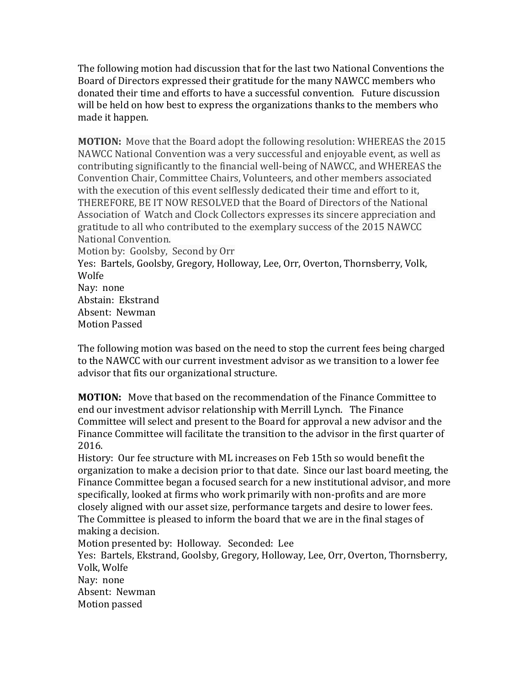The following motion had discussion that for the last two National Conventions the Board of Directors expressed their gratitude for the many NAWCC members who donated their time and efforts to have a successful convention. Future discussion will be held on how best to express the organizations thanks to the members who made it happen.

**MOTION:** Move that the Board adopt the following resolution: WHEREAS the 2015 NAWCC National Convention was a very successful and enjoyable event, as well as contributing significantly to the financial well-being of NAWCC, and WHEREAS the Convention Chair, Committee Chairs, Volunteers, and other members associated with the execution of this event selflessly dedicated their time and effort to it, THEREFORE, BE IT NOW RESOLVED that the Board of Directors of the National Association of Watch and Clock Collectors expresses its sincere appreciation and gratitude to all who contributed to the exemplary success of the 2015 NAWCC National Convention.

Motion by: Goolsby, Second by Orr

Yes: Bartels, Goolsby, Gregory, Holloway, Lee, Orr, Overton, Thornsberry, Volk, Wolfe

Nay: none Abstain: Ekstrand Absent: Newman Motion Passed

The following motion was based on the need to stop the current fees being charged to the NAWCC with our current investment advisor as we transition to a lower fee advisor that fits our organizational structure.

**MOTION:** Move that based on the recommendation of the Finance Committee to end our investment advisor relationship with Merrill Lynch. The Finance Committee will select and present to the Board for approval a new advisor and the Finance Committee will facilitate the transition to the advisor in the first quarter of 2016.

History: Our fee structure with ML increases on Feb 15th so would benefit the organization to make a decision prior to that date. Since our last board meeting, the Finance Committee began a focused search for a new institutional advisor, and more specifically, looked at firms who work primarily with non-profits and are more closely aligned with our asset size, performance targets and desire to lower fees. The Committee is pleased to inform the board that we are in the final stages of making a decision.

Motion presented by: Holloway. Seconded: Lee

Yes: Bartels, Ekstrand, Goolsby, Gregory, Holloway, Lee, Orr, Overton, Thornsberry, Volk, Wolfe

Nay: none Absent: Newman Motion passed